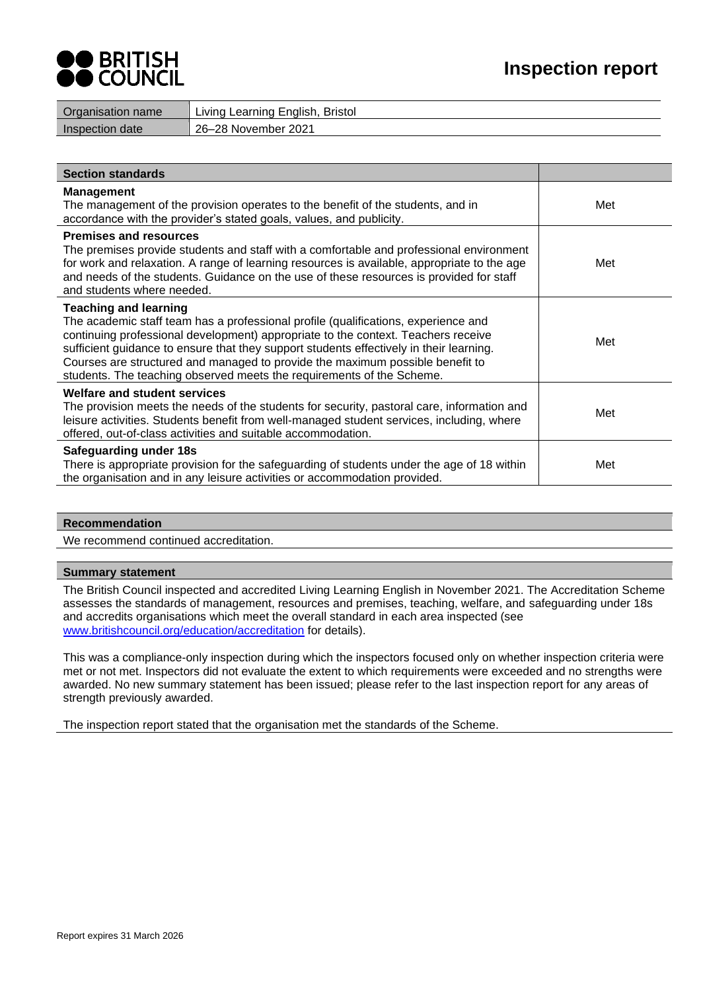

| Organisation name | Living Learning English, Bristol |
|-------------------|----------------------------------|
| Inspection date   | 26–28 November 2021              |

| <b>Section standards</b>                                                                                                                                                                                                                                                                                                                                                                                                                                     |     |
|--------------------------------------------------------------------------------------------------------------------------------------------------------------------------------------------------------------------------------------------------------------------------------------------------------------------------------------------------------------------------------------------------------------------------------------------------------------|-----|
| <b>Management</b><br>The management of the provision operates to the benefit of the students, and in<br>accordance with the provider's stated goals, values, and publicity.                                                                                                                                                                                                                                                                                  | Met |
| <b>Premises and resources</b><br>The premises provide students and staff with a comfortable and professional environment<br>for work and relaxation. A range of learning resources is available, appropriate to the age<br>and needs of the students. Guidance on the use of these resources is provided for staff<br>and students where needed.                                                                                                             | Met |
| <b>Teaching and learning</b><br>The academic staff team has a professional profile (qualifications, experience and<br>continuing professional development) appropriate to the context. Teachers receive<br>sufficient guidance to ensure that they support students effectively in their learning.<br>Courses are structured and managed to provide the maximum possible benefit to<br>students. The teaching observed meets the requirements of the Scheme. | Met |
| <b>Welfare and student services</b><br>The provision meets the needs of the students for security, pastoral care, information and<br>leisure activities. Students benefit from well-managed student services, including, where<br>offered, out-of-class activities and suitable accommodation.                                                                                                                                                               | Met |
| <b>Safeguarding under 18s</b><br>There is appropriate provision for the safeguarding of students under the age of 18 within<br>the organisation and in any leisure activities or accommodation provided.                                                                                                                                                                                                                                                     | Met |

#### **Recommendation**

We recommend continued accreditation.

### **Summary statement**

The British Council inspected and accredited Living Learning English in November 2021. The Accreditation Scheme assesses the standards of management, resources and premises, teaching, welfare, and safeguarding under 18s and accredits organisations which meet the overall standard in each area inspected (see [www.britishcouncil.org/education/accreditation](http://www.britishcouncil.org/education/accreditation) for details).

This was a compliance-only inspection during which the inspectors focused only on whether inspection criteria were met or not met. Inspectors did not evaluate the extent to which requirements were exceeded and no strengths were awarded. No new summary statement has been issued; please refer to the last inspection report for any areas of strength previously awarded.

The inspection report stated that the organisation met the standards of the Scheme.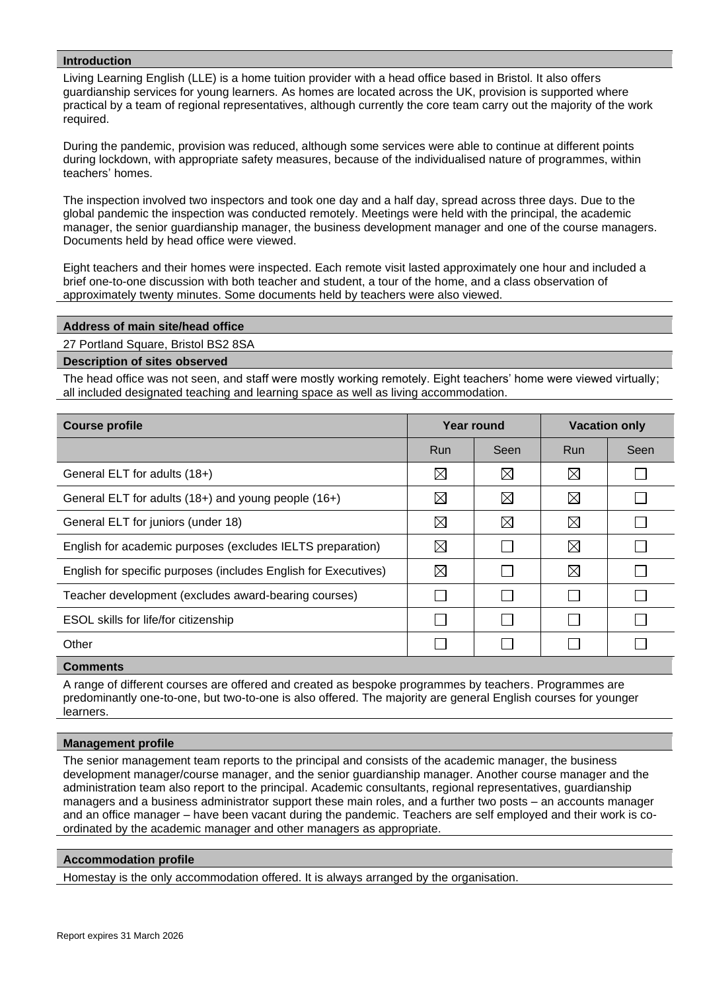## **Introduction**

Living Learning English (LLE) is a home tuition provider with a head office based in Bristol. It also offers guardianship services for young learners. As homes are located across the UK, provision is supported where practical by a team of regional representatives, although currently the core team carry out the majority of the work required.

During the pandemic, provision was reduced, although some services were able to continue at different points during lockdown, with appropriate safety measures, because of the individualised nature of programmes, within teachers' homes.

The inspection involved two inspectors and took one day and a half day, spread across three days. Due to the global pandemic the inspection was conducted remotely. Meetings were held with the principal, the academic manager, the senior guardianship manager, the business development manager and one of the course managers. Documents held by head office were viewed.

Eight teachers and their homes were inspected. Each remote visit lasted approximately one hour and included a brief one-to-one discussion with both teacher and student, a tour of the home, and a class observation of approximately twenty minutes. Some documents held by teachers were also viewed.

#### **Address of main site/head office**

27 Portland Square, Bristol BS2 8SA

#### **Description of sites observed**

The head office was not seen, and staff were mostly working remotely. Eight teachers' home were viewed virtually; all included designated teaching and learning space as well as living accommodation.

| <b>Course profile</b>                                           | Year round  |             | <b>Vacation only</b> |      |
|-----------------------------------------------------------------|-------------|-------------|----------------------|------|
|                                                                 | <b>Run</b>  | Seen        | Run                  | Seen |
| General ELT for adults (18+)                                    | ⊠           | $\boxtimes$ | $\boxtimes$          |      |
| General ELT for adults (18+) and young people (16+)             | ⊠           | $\boxtimes$ | $\boxtimes$          |      |
| General ELT for juniors (under 18)                              | $\boxtimes$ | $\boxtimes$ | $\boxtimes$          |      |
| English for academic purposes (excludes IELTS preparation)      | $\boxtimes$ |             | $\boxtimes$          |      |
| English for specific purposes (includes English for Executives) | ⊠           |             | $\boxtimes$          |      |
| Teacher development (excludes award-bearing courses)            |             |             |                      |      |
| ESOL skills for life/for citizenship                            |             |             |                      |      |
| Other                                                           |             |             |                      |      |

## **Comments**

A range of different courses are offered and created as bespoke programmes by teachers. Programmes are predominantly one-to-one, but two-to-one is also offered. The majority are general English courses for younger learners.

#### **Management profile**

The senior management team reports to the principal and consists of the academic manager, the business development manager/course manager, and the senior guardianship manager. Another course manager and the administration team also report to the principal. Academic consultants, regional representatives, guardianship managers and a business administrator support these main roles, and a further two posts – an accounts manager and an office manager – have been vacant during the pandemic. Teachers are self employed and their work is coordinated by the academic manager and other managers as appropriate.

#### **Accommodation profile**

Homestay is the only accommodation offered. It is always arranged by the organisation.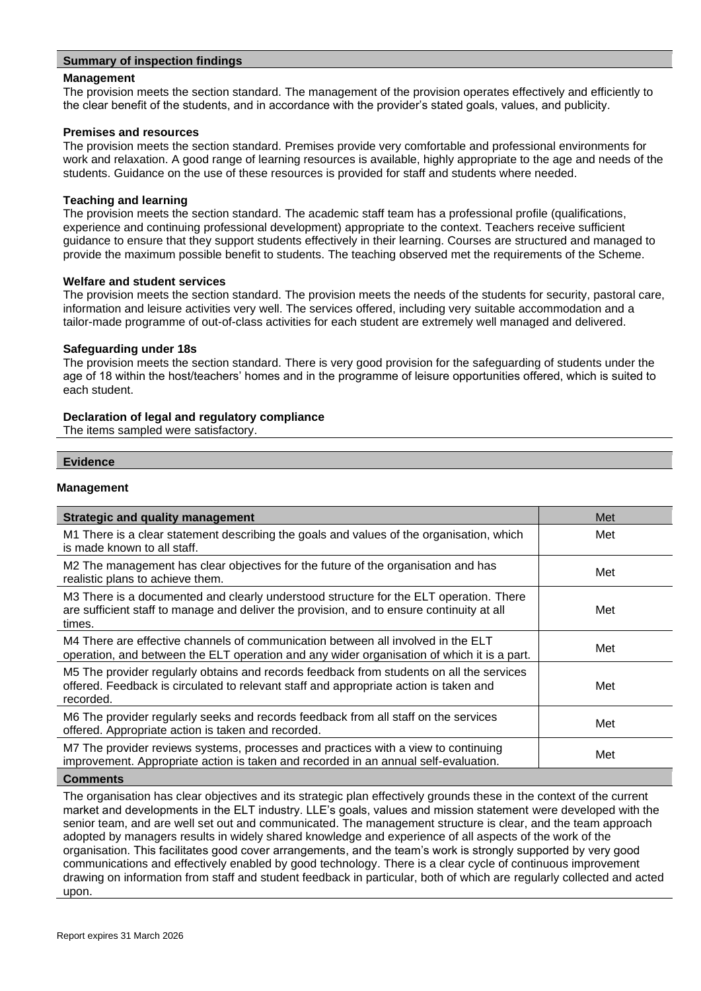## **Summary of inspection findings**

#### **Management**

The provision meets the section standard. The management of the provision operates effectively and efficiently to the clear benefit of the students, and in accordance with the provider's stated goals, values, and publicity.

#### **Premises and resources**

The provision meets the section standard. Premises provide very comfortable and professional environments for work and relaxation. A good range of learning resources is available, highly appropriate to the age and needs of the students. Guidance on the use of these resources is provided for staff and students where needed.

#### **Teaching and learning**

The provision meets the section standard. The academic staff team has a professional profile (qualifications, experience and continuing professional development) appropriate to the context. Teachers receive sufficient guidance to ensure that they support students effectively in their learning. Courses are structured and managed to provide the maximum possible benefit to students. The teaching observed met the requirements of the Scheme.

#### **Welfare and student services**

The provision meets the section standard. The provision meets the needs of the students for security, pastoral care, information and leisure activities very well. The services offered, including very suitable accommodation and a tailor-made programme of out-of-class activities for each student are extremely well managed and delivered.

#### **Safeguarding under 18s**

The provision meets the section standard. There is very good provision for the safeguarding of students under the age of 18 within the host/teachers' homes and in the programme of leisure opportunities offered, which is suited to each student.

#### **Declaration of legal and regulatory compliance**

The items sampled were satisfactory.

#### **Evidence**

#### **Management**

| <b>Strategic and quality management</b>                                                                                                                                                        | Met |
|------------------------------------------------------------------------------------------------------------------------------------------------------------------------------------------------|-----|
| M1 There is a clear statement describing the goals and values of the organisation, which<br>is made known to all staff.                                                                        | Met |
| M2 The management has clear objectives for the future of the organisation and has<br>realistic plans to achieve them.                                                                          | Met |
| M3 There is a documented and clearly understood structure for the ELT operation. There<br>are sufficient staff to manage and deliver the provision, and to ensure continuity at all<br>times.  | Met |
| M4 There are effective channels of communication between all involved in the ELT<br>operation, and between the ELT operation and any wider organisation of which it is a part.                 | Met |
| M5 The provider regularly obtains and records feedback from students on all the services<br>offered. Feedback is circulated to relevant staff and appropriate action is taken and<br>recorded. | Met |
| M6 The provider regularly seeks and records feedback from all staff on the services<br>offered. Appropriate action is taken and recorded.                                                      | Met |
| M7 The provider reviews systems, processes and practices with a view to continuing<br>improvement. Appropriate action is taken and recorded in an annual self-evaluation.                      | Met |
| <b>Comments</b>                                                                                                                                                                                |     |

The organisation has clear objectives and its strategic plan effectively grounds these in the context of the current market and developments in the ELT industry. LLE's goals, values and mission statement were developed with the senior team, and are well set out and communicated. The management structure is clear, and the team approach adopted by managers results in widely shared knowledge and experience of all aspects of the work of the organisation. This facilitates good cover arrangements, and the team's work is strongly supported by very good communications and effectively enabled by good technology. There is a clear cycle of continuous improvement drawing on information from staff and student feedback in particular, both of which are regularly collected and acted upon.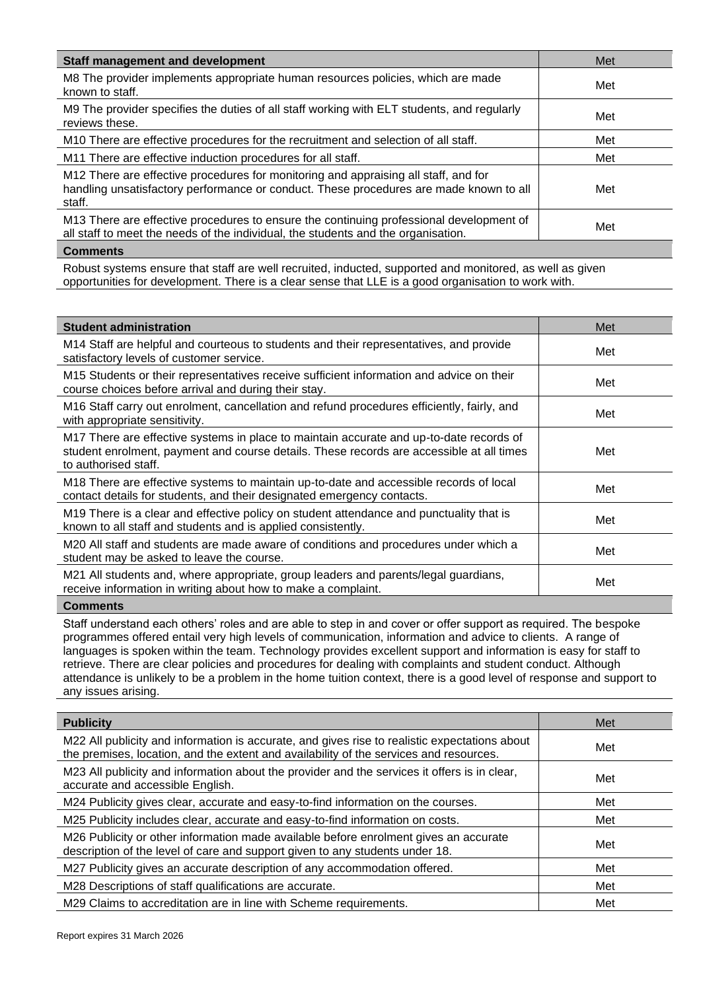| Staff management and development                                                                                                                                                        | Met |
|-----------------------------------------------------------------------------------------------------------------------------------------------------------------------------------------|-----|
| M8 The provider implements appropriate human resources policies, which are made<br>known to staff.                                                                                      | Met |
| M9 The provider specifies the duties of all staff working with ELT students, and regularly<br>reviews these.                                                                            | Met |
| M10 There are effective procedures for the recruitment and selection of all staff.                                                                                                      | Met |
| M11 There are effective induction procedures for all staff.                                                                                                                             | Met |
| M12 There are effective procedures for monitoring and appraising all staff, and for<br>handling unsatisfactory performance or conduct. These procedures are made known to all<br>staff. | Met |
| M13 There are effective procedures to ensure the continuing professional development of<br>all staff to meet the needs of the individual, the students and the organisation.            | Met |
| <b>Comments</b>                                                                                                                                                                         |     |

Robust systems ensure that staff are well recruited, inducted, supported and monitored, as well as given opportunities for development. There is a clear sense that LLE is a good organisation to work with.

| <b>Student administration</b>                                                                                                                                                                               | Met |
|-------------------------------------------------------------------------------------------------------------------------------------------------------------------------------------------------------------|-----|
| M14 Staff are helpful and courteous to students and their representatives, and provide<br>satisfactory levels of customer service.                                                                          | Met |
| M15 Students or their representatives receive sufficient information and advice on their<br>course choices before arrival and during their stay.                                                            | Met |
| M16 Staff carry out enrolment, cancellation and refund procedures efficiently, fairly, and<br>with appropriate sensitivity.                                                                                 | Met |
| M17 There are effective systems in place to maintain accurate and up-to-date records of<br>student enrolment, payment and course details. These records are accessible at all times<br>to authorised staff. | Met |
| M18 There are effective systems to maintain up-to-date and accessible records of local<br>contact details for students, and their designated emergency contacts.                                            | Met |
| M19 There is a clear and effective policy on student attendance and punctuality that is<br>known to all staff and students and is applied consistently.                                                     | Met |
| M20 All staff and students are made aware of conditions and procedures under which a<br>student may be asked to leave the course.                                                                           | Met |
| M21 All students and, where appropriate, group leaders and parents/legal guardians,<br>receive information in writing about how to make a complaint.                                                        | Met |
| <b>Comments</b>                                                                                                                                                                                             |     |

Staff understand each others' roles and are able to step in and cover or offer support as required. The bespoke programmes offered entail very high levels of communication, information and advice to clients. A range of languages is spoken within the team. Technology provides excellent support and information is easy for staff to retrieve. There are clear policies and procedures for dealing with complaints and student conduct. Although attendance is unlikely to be a problem in the home tuition context, there is a good level of response and support to any issues arising.

| <b>Publicity</b>                                                                                                                                                                        | Met |
|-----------------------------------------------------------------------------------------------------------------------------------------------------------------------------------------|-----|
| M22 All publicity and information is accurate, and gives rise to realistic expectations about<br>the premises, location, and the extent and availability of the services and resources. | Met |
| M23 All publicity and information about the provider and the services it offers is in clear,<br>accurate and accessible English.                                                        | Met |
| M24 Publicity gives clear, accurate and easy-to-find information on the courses.                                                                                                        | Met |
| M25 Publicity includes clear, accurate and easy-to-find information on costs.                                                                                                           | Met |
| M26 Publicity or other information made available before enrolment gives an accurate<br>description of the level of care and support given to any students under 18.                    | Met |
| M27 Publicity gives an accurate description of any accommodation offered.                                                                                                               | Met |
| M28 Descriptions of staff qualifications are accurate.                                                                                                                                  | Met |
| M29 Claims to accreditation are in line with Scheme requirements.                                                                                                                       | Met |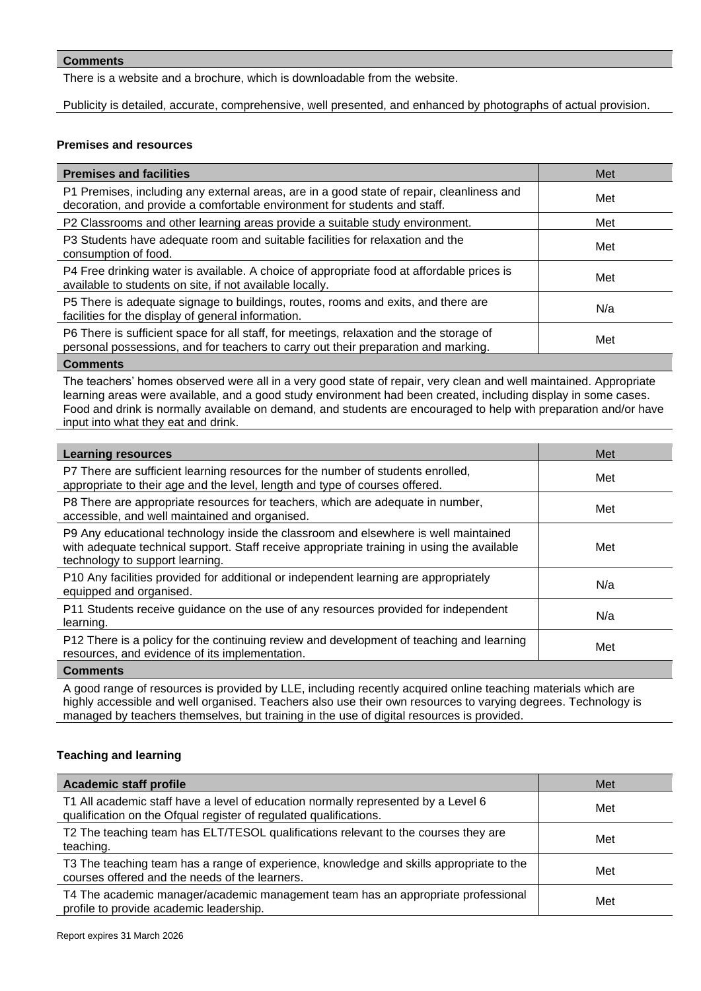There is a website and a brochure, which is downloadable from the website.

Publicity is detailed, accurate, comprehensive, well presented, and enhanced by photographs of actual provision.

## **Premises and resources**

| <b>Premises and facilities</b>                                                                                                                                                | Met |
|-------------------------------------------------------------------------------------------------------------------------------------------------------------------------------|-----|
| P1 Premises, including any external areas, are in a good state of repair, cleanliness and<br>decoration, and provide a comfortable environment for students and staff.        | Met |
| P2 Classrooms and other learning areas provide a suitable study environment.                                                                                                  | Met |
| P3 Students have adequate room and suitable facilities for relaxation and the<br>consumption of food.                                                                         | Met |
| P4 Free drinking water is available. A choice of appropriate food at affordable prices is<br>available to students on site, if not available locally.                         | Met |
| P5 There is adequate signage to buildings, routes, rooms and exits, and there are<br>facilities for the display of general information.                                       | N/a |
| P6 There is sufficient space for all staff, for meetings, relaxation and the storage of<br>personal possessions, and for teachers to carry out their preparation and marking. | Met |
| <b>Comments</b>                                                                                                                                                               |     |

The teachers' homes observed were all in a very good state of repair, very clean and well maintained. Appropriate learning areas were available, and a good study environment had been created, including display in some cases. Food and drink is normally available on demand, and students are encouraged to help with preparation and/or have input into what they eat and drink.

| <b>Learning resources</b>                                                                                                                                                                                            | Met |
|----------------------------------------------------------------------------------------------------------------------------------------------------------------------------------------------------------------------|-----|
| P7 There are sufficient learning resources for the number of students enrolled,<br>appropriate to their age and the level, length and type of courses offered.                                                       | Met |
| P8 There are appropriate resources for teachers, which are adequate in number,<br>accessible, and well maintained and organised.                                                                                     | Met |
| P9 Any educational technology inside the classroom and elsewhere is well maintained<br>with adequate technical support. Staff receive appropriate training in using the available<br>technology to support learning. | Met |
| P10 Any facilities provided for additional or independent learning are appropriately<br>equipped and organised.                                                                                                      | N/a |
| P11 Students receive guidance on the use of any resources provided for independent<br>learning.                                                                                                                      | N/a |
| P12 There is a policy for the continuing review and development of teaching and learning<br>resources, and evidence of its implementation.                                                                           | Met |
| <b>Comments</b>                                                                                                                                                                                                      |     |

A good range of resources is provided by LLE, including recently acquired online teaching materials which are highly accessible and well organised. Teachers also use their own resources to varying degrees. Technology is managed by teachers themselves, but training in the use of digital resources is provided.

## **Teaching and learning**

| <b>Academic staff profile</b>                                                                                                                          | Met |
|--------------------------------------------------------------------------------------------------------------------------------------------------------|-----|
| T1 All academic staff have a level of education normally represented by a Level 6<br>qualification on the Ofqual register of regulated qualifications. | Met |
| T2 The teaching team has ELT/TESOL qualifications relevant to the courses they are<br>teaching.                                                        | Met |
| T3 The teaching team has a range of experience, knowledge and skills appropriate to the<br>courses offered and the needs of the learners.              | Met |
| T4 The academic manager/academic management team has an appropriate professional<br>profile to provide academic leadership.                            | Met |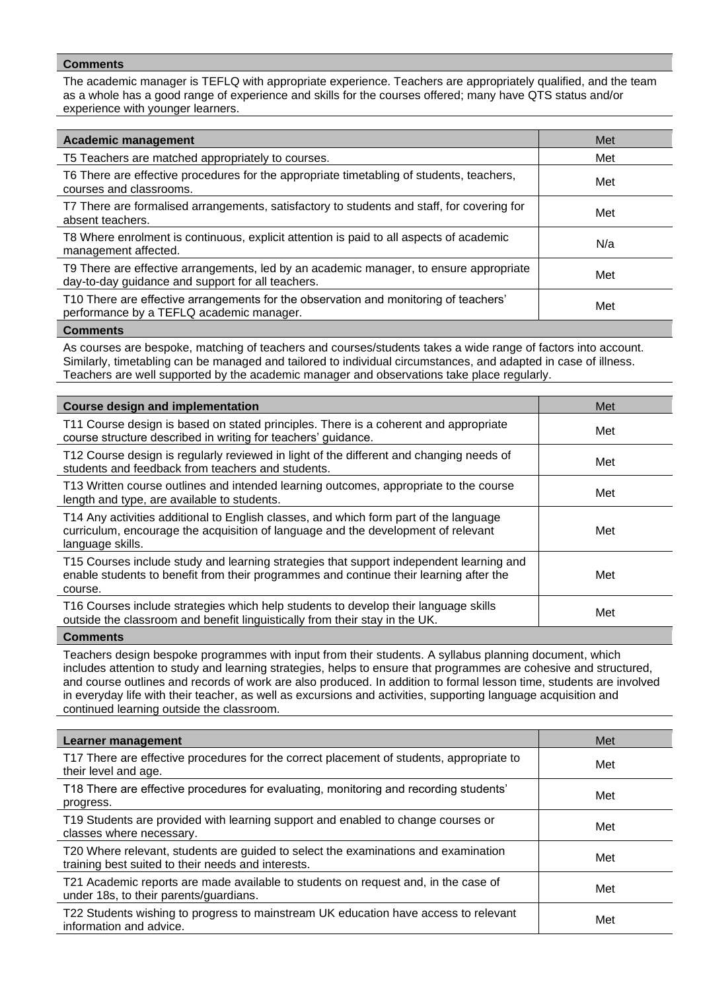The academic manager is TEFLQ with appropriate experience. Teachers are appropriately qualified, and the team as a whole has a good range of experience and skills for the courses offered; many have QTS status and/or experience with younger learners.

| <b>Academic management</b>                                                                                                                  | Met |
|---------------------------------------------------------------------------------------------------------------------------------------------|-----|
| T5 Teachers are matched appropriately to courses.                                                                                           | Met |
| T6 There are effective procedures for the appropriate timetabling of students, teachers,<br>courses and classrooms.                         | Met |
| T7 There are formalised arrangements, satisfactory to students and staff, for covering for<br>absent teachers.                              | Met |
| T8 Where enrolment is continuous, explicit attention is paid to all aspects of academic<br>management affected.                             | N/a |
| T9 There are effective arrangements, led by an academic manager, to ensure appropriate<br>day-to-day guidance and support for all teachers. | Met |
| T10 There are effective arrangements for the observation and monitoring of teachers'<br>performance by a TEFLQ academic manager.            | Met |
|                                                                                                                                             |     |

#### **Comments**

As courses are bespoke, matching of teachers and courses/students takes a wide range of factors into account. Similarly, timetabling can be managed and tailored to individual circumstances, and adapted in case of illness. Teachers are well supported by the academic manager and observations take place regularly.

| <b>Course design and implementation</b>                                                                                                                                                        | Met |
|------------------------------------------------------------------------------------------------------------------------------------------------------------------------------------------------|-----|
| T11 Course design is based on stated principles. There is a coherent and appropriate<br>course structure described in writing for teachers' guidance.                                          | Met |
| T12 Course design is regularly reviewed in light of the different and changing needs of<br>students and feedback from teachers and students.                                                   | Met |
| T13 Written course outlines and intended learning outcomes, appropriate to the course<br>length and type, are available to students.                                                           | Met |
| T14 Any activities additional to English classes, and which form part of the language<br>curriculum, encourage the acquisition of language and the development of relevant<br>language skills. | Met |
| T15 Courses include study and learning strategies that support independent learning and<br>enable students to benefit from their programmes and continue their learning after the<br>course.   | Met |
| T16 Courses include strategies which help students to develop their language skills<br>outside the classroom and benefit linguistically from their stay in the UK.                             | Met |
|                                                                                                                                                                                                |     |

**Comments**

Teachers design bespoke programmes with input from their students. A syllabus planning document, which includes attention to study and learning strategies, helps to ensure that programmes are cohesive and structured, and course outlines and records of work are also produced. In addition to formal lesson time, students are involved in everyday life with their teacher, as well as excursions and activities, supporting language acquisition and continued learning outside the classroom.

| Learner management                                                                                                                       | Met |
|------------------------------------------------------------------------------------------------------------------------------------------|-----|
| T17 There are effective procedures for the correct placement of students, appropriate to<br>their level and age.                         | Met |
| T18 There are effective procedures for evaluating, monitoring and recording students'<br>progress.                                       | Met |
| T19 Students are provided with learning support and enabled to change courses or<br>classes where necessary.                             | Met |
| T20 Where relevant, students are guided to select the examinations and examination<br>training best suited to their needs and interests. | Met |
| T21 Academic reports are made available to students on request and, in the case of<br>under 18s, to their parents/guardians.             | Met |
| T22 Students wishing to progress to mainstream UK education have access to relevant<br>information and advice.                           | Met |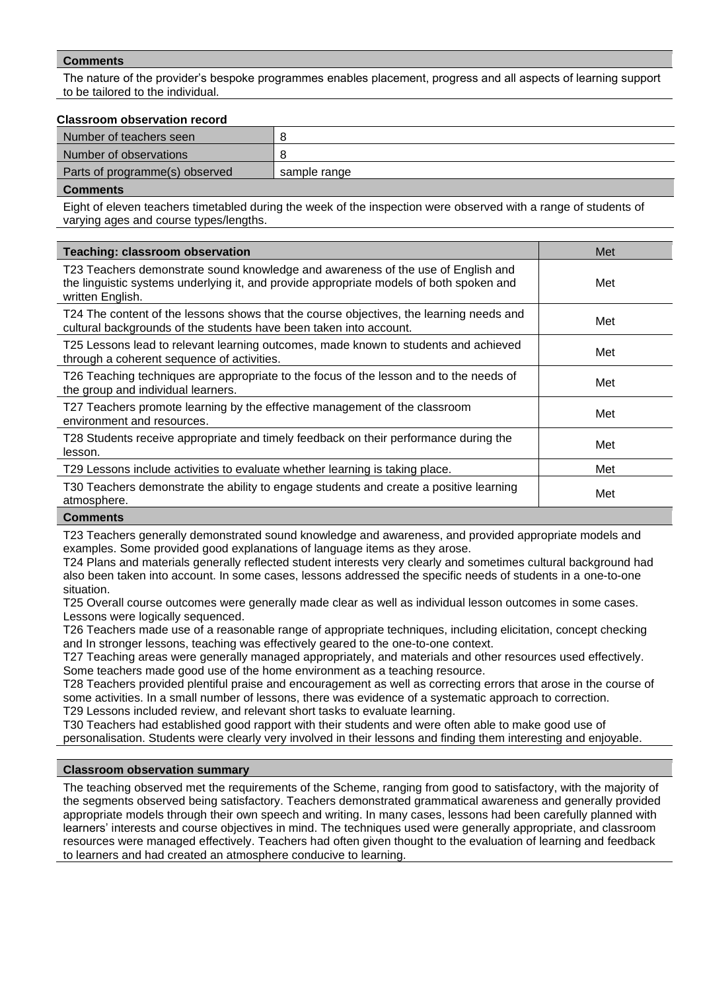The nature of the provider's bespoke programmes enables placement, progress and all aspects of learning support to be tailored to the individual.

#### **Classroom observation record**

| Number of teachers seen        |              |
|--------------------------------|--------------|
| Number of observations         |              |
| Parts of programme(s) observed | sample range |
| Commonte                       |              |

**Comment** 

Eight of eleven teachers timetabled during the week of the inspection were observed with a range of students of varying ages and course types/lengths.

| <b>Teaching: classroom observation</b>                                                                                                                                                          | Met |
|-------------------------------------------------------------------------------------------------------------------------------------------------------------------------------------------------|-----|
| T23 Teachers demonstrate sound knowledge and awareness of the use of English and<br>the linguistic systems underlying it, and provide appropriate models of both spoken and<br>written English. | Met |
| T24 The content of the lessons shows that the course objectives, the learning needs and<br>cultural backgrounds of the students have been taken into account.                                   | Met |
| T25 Lessons lead to relevant learning outcomes, made known to students and achieved<br>through a coherent sequence of activities.                                                               | Met |
| T26 Teaching techniques are appropriate to the focus of the lesson and to the needs of<br>the group and individual learners.                                                                    | Met |
| T27 Teachers promote learning by the effective management of the classroom<br>environment and resources.                                                                                        | Met |
| T28 Students receive appropriate and timely feedback on their performance during the<br>lesson.                                                                                                 | Met |
| T29 Lessons include activities to evaluate whether learning is taking place.                                                                                                                    | Met |
| T30 Teachers demonstrate the ability to engage students and create a positive learning<br>atmosphere.                                                                                           | Met |
|                                                                                                                                                                                                 |     |

#### **Comments**

T23 Teachers generally demonstrated sound knowledge and awareness, and provided appropriate models and examples. Some provided good explanations of language items as they arose.

T24 Plans and materials generally reflected student interests very clearly and sometimes cultural background had also been taken into account. In some cases, lessons addressed the specific needs of students in a one-to-one situation.

T25 Overall course outcomes were generally made clear as well as individual lesson outcomes in some cases. Lessons were logically sequenced.

T26 Teachers made use of a reasonable range of appropriate techniques, including elicitation, concept checking and In stronger lessons, teaching was effectively geared to the one-to-one context.

T27 Teaching areas were generally managed appropriately, and materials and other resources used effectively. Some teachers made good use of the home environment as a teaching resource.

T28 Teachers provided plentiful praise and encouragement as well as correcting errors that arose in the course of some activities. In a small number of lessons, there was evidence of a systematic approach to correction. T29 Lessons included review, and relevant short tasks to evaluate learning.

T30 Teachers had established good rapport with their students and were often able to make good use of personalisation. Students were clearly very involved in their lessons and finding them interesting and enjoyable.

#### **Classroom observation summary**

The teaching observed met the requirements of the Scheme, ranging from good to satisfactory, with the majority of the segments observed being satisfactory. Teachers demonstrated grammatical awareness and generally provided appropriate models through their own speech and writing. In many cases, lessons had been carefully planned with learners' interests and course objectives in mind. The techniques used were generally appropriate, and classroom resources were managed effectively. Teachers had often given thought to the evaluation of learning and feedback to learners and had created an atmosphere conducive to learning.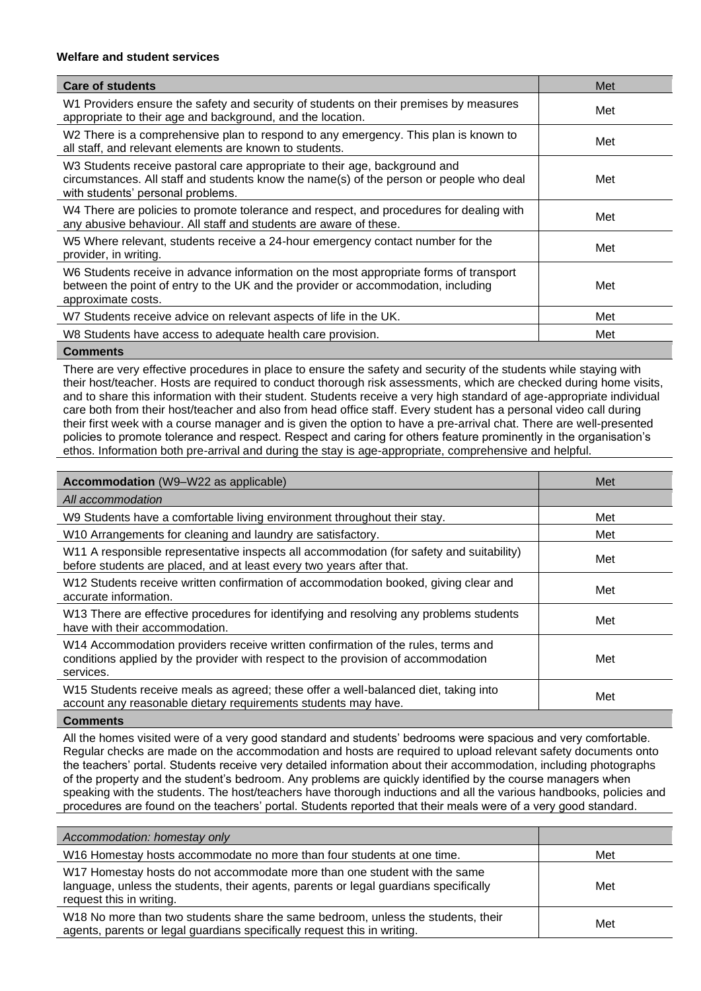## **Welfare and student services**

| <b>Care of students</b>                                                                                                                                                                                    | Met |
|------------------------------------------------------------------------------------------------------------------------------------------------------------------------------------------------------------|-----|
| W1 Providers ensure the safety and security of students on their premises by measures<br>appropriate to their age and background, and the location.                                                        | Met |
| W2 There is a comprehensive plan to respond to any emergency. This plan is known to<br>all staff, and relevant elements are known to students.                                                             | Met |
| W3 Students receive pastoral care appropriate to their age, background and<br>circumstances. All staff and students know the name(s) of the person or people who deal<br>with students' personal problems. | Met |
| W4 There are policies to promote tolerance and respect, and procedures for dealing with<br>any abusive behaviour. All staff and students are aware of these.                                               | Met |
| W5 Where relevant, students receive a 24-hour emergency contact number for the<br>provider, in writing.                                                                                                    | Met |
| W6 Students receive in advance information on the most appropriate forms of transport<br>between the point of entry to the UK and the provider or accommodation, including<br>approximate costs.           | Met |
| W7 Students receive advice on relevant aspects of life in the UK.                                                                                                                                          | Met |
| W8 Students have access to adequate health care provision.                                                                                                                                                 | Met |

#### **Comments**

There are very effective procedures in place to ensure the safety and security of the students while staying with their host/teacher. Hosts are required to conduct thorough risk assessments, which are checked during home visits, and to share this information with their student. Students receive a very high standard of age-appropriate individual care both from their host/teacher and also from head office staff. Every student has a personal video call during their first week with a course manager and is given the option to have a pre-arrival chat. There are well-presented policies to promote tolerance and respect. Respect and caring for others feature prominently in the organisation's ethos. Information both pre-arrival and during the stay is age-appropriate, comprehensive and helpful.

| Accommodation (W9-W22 as applicable)                                                                                                                                               | Met |
|------------------------------------------------------------------------------------------------------------------------------------------------------------------------------------|-----|
| All accommodation                                                                                                                                                                  |     |
| W9 Students have a comfortable living environment throughout their stay.                                                                                                           | Met |
| W10 Arrangements for cleaning and laundry are satisfactory.                                                                                                                        | Met |
| W11 A responsible representative inspects all accommodation (for safety and suitability)<br>before students are placed, and at least every two years after that.                   | Met |
| W12 Students receive written confirmation of accommodation booked, giving clear and<br>accurate information.                                                                       | Met |
| W13 There are effective procedures for identifying and resolving any problems students<br>have with their accommodation.                                                           | Met |
| W14 Accommodation providers receive written confirmation of the rules, terms and<br>conditions applied by the provider with respect to the provision of accommodation<br>services. | Met |
| W15 Students receive meals as agreed; these offer a well-balanced diet, taking into<br>account any reasonable dietary requirements students may have.                              | Met |

#### **Comments**

All the homes visited were of a very good standard and students' bedrooms were spacious and very comfortable. Regular checks are made on the accommodation and hosts are required to upload relevant safety documents onto the teachers' portal. Students receive very detailed information about their accommodation, including photographs of the property and the student's bedroom. Any problems are quickly identified by the course managers when speaking with the students. The host/teachers have thorough inductions and all the various handbooks, policies and procedures are found on the teachers' portal. Students reported that their meals were of a very good standard.

| Accommodation: homestay only                                                                                                                                                                  |     |
|-----------------------------------------------------------------------------------------------------------------------------------------------------------------------------------------------|-----|
| W16 Homestay hosts accommodate no more than four students at one time.                                                                                                                        | Met |
| W17 Homestay hosts do not accommodate more than one student with the same<br>language, unless the students, their agents, parents or legal guardians specifically<br>request this in writing. | Met |
| W18 No more than two students share the same bedroom, unless the students, their<br>agents, parents or legal guardians specifically request this in writing.                                  | Met |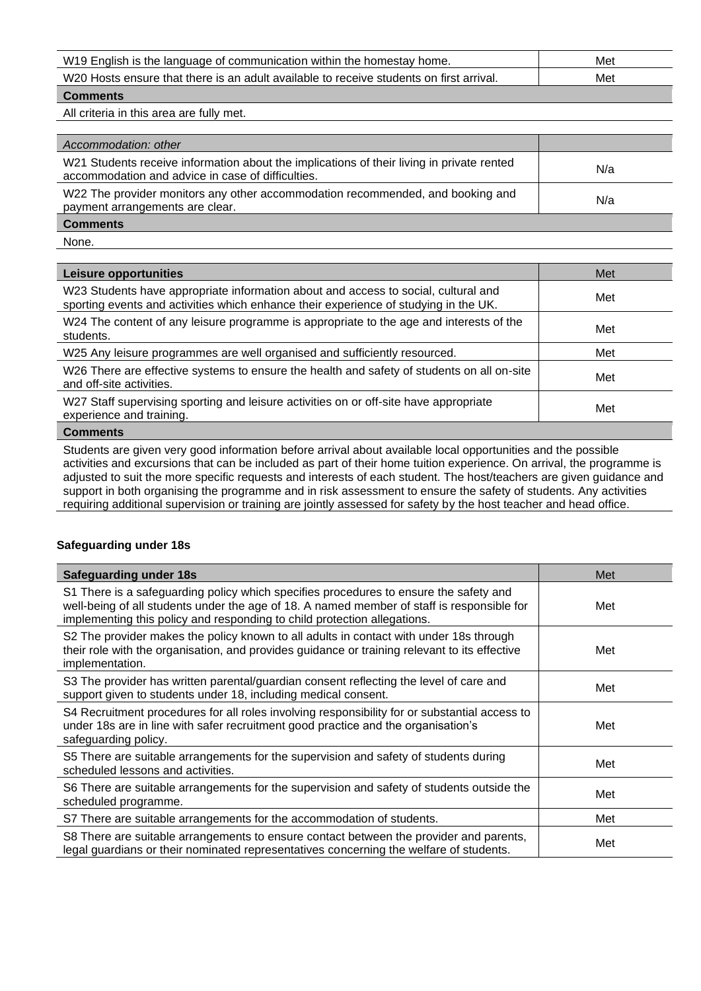| W19 English is the language of communication within the homestay home.                  | Met |
|-----------------------------------------------------------------------------------------|-----|
| W20 Hosts ensure that there is an adult available to receive students on first arrival. | Met |
| Commonte                                                                                |     |

All criteria in this area are fully met.

| Accommodation: other                                                                                                                           |     |
|------------------------------------------------------------------------------------------------------------------------------------------------|-----|
| W21 Students receive information about the implications of their living in private rented<br>accommodation and advice in case of difficulties. | N/a |
| W22 The provider monitors any other accommodation recommended, and booking and<br>payment arrangements are clear.                              | N/a |
| <b>Comments</b>                                                                                                                                |     |

None.

| Leisure opportunities                                                                                                                                                      | Met |
|----------------------------------------------------------------------------------------------------------------------------------------------------------------------------|-----|
| W23 Students have appropriate information about and access to social, cultural and<br>sporting events and activities which enhance their experience of studying in the UK. | Met |
| W24 The content of any leisure programme is appropriate to the age and interests of the<br>students.                                                                       | Met |
| W25 Any leisure programmes are well organised and sufficiently resourced.                                                                                                  | Met |
| W26 There are effective systems to ensure the health and safety of students on all on-site<br>and off-site activities.                                                     | Met |
| W27 Staff supervising sporting and leisure activities on or off-site have appropriate<br>experience and training.                                                          | Met |
|                                                                                                                                                                            |     |

#### **Comments**

Students are given very good information before arrival about available local opportunities and the possible activities and excursions that can be included as part of their home tuition experience. On arrival, the programme is adjusted to suit the more specific requests and interests of each student. The host/teachers are given guidance and support in both organising the programme and in risk assessment to ensure the safety of students. Any activities requiring additional supervision or training are jointly assessed for safety by the host teacher and head office.

## **Safeguarding under 18s**

| <b>Safeguarding under 18s</b>                                                                                                                                                                                                                                   | Met |
|-----------------------------------------------------------------------------------------------------------------------------------------------------------------------------------------------------------------------------------------------------------------|-----|
| S1 There is a safeguarding policy which specifies procedures to ensure the safety and<br>well-being of all students under the age of 18. A named member of staff is responsible for<br>implementing this policy and responding to child protection allegations. | Met |
| S2 The provider makes the policy known to all adults in contact with under 18s through<br>their role with the organisation, and provides guidance or training relevant to its effective<br>implementation.                                                      | Met |
| S3 The provider has written parental/guardian consent reflecting the level of care and<br>support given to students under 18, including medical consent.                                                                                                        | Met |
| S4 Recruitment procedures for all roles involving responsibility for or substantial access to<br>under 18s are in line with safer recruitment good practice and the organisation's<br>safeguarding policy.                                                      | Met |
| S5 There are suitable arrangements for the supervision and safety of students during<br>scheduled lessons and activities.                                                                                                                                       | Met |
| S6 There are suitable arrangements for the supervision and safety of students outside the<br>scheduled programme.                                                                                                                                               | Met |
| S7 There are suitable arrangements for the accommodation of students.                                                                                                                                                                                           | Met |
| S8 There are suitable arrangements to ensure contact between the provider and parents,<br>legal guardians or their nominated representatives concerning the welfare of students.                                                                                | Met |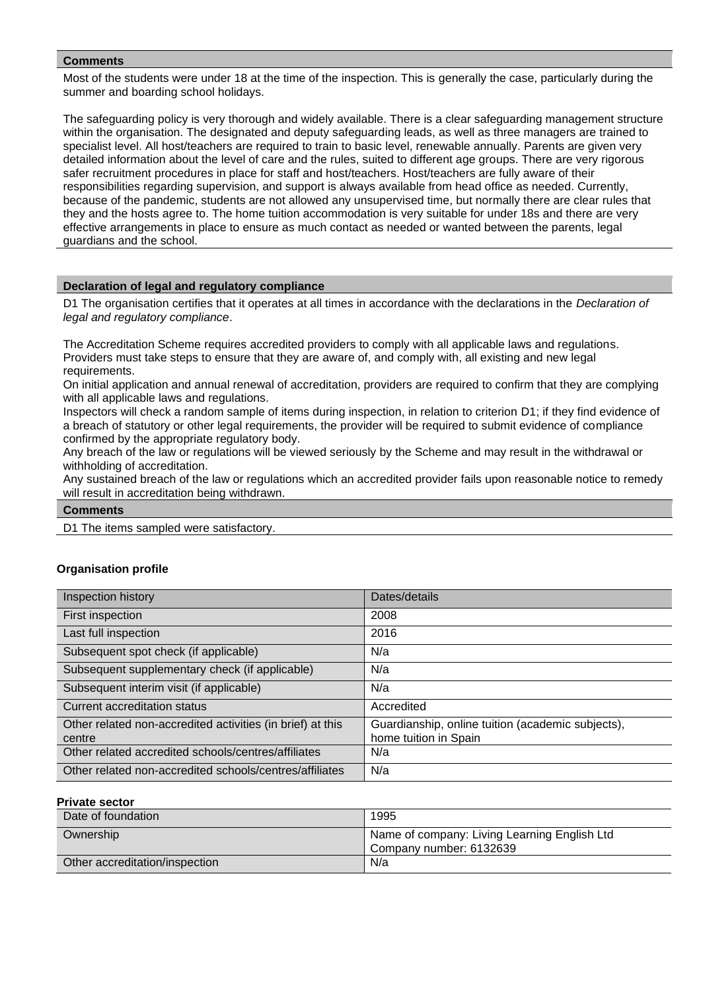Most of the students were under 18 at the time of the inspection. This is generally the case, particularly during the summer and boarding school holidays.

The safeguarding policy is very thorough and widely available. There is a clear safeguarding management structure within the organisation. The designated and deputy safeguarding leads, as well as three managers are trained to specialist level. All host/teachers are required to train to basic level, renewable annually. Parents are given very detailed information about the level of care and the rules, suited to different age groups. There are very rigorous safer recruitment procedures in place for staff and host/teachers. Host/teachers are fully aware of their responsibilities regarding supervision, and support is always available from head office as needed. Currently, because of the pandemic, students are not allowed any unsupervised time, but normally there are clear rules that they and the hosts agree to. The home tuition accommodation is very suitable for under 18s and there are very effective arrangements in place to ensure as much contact as needed or wanted between the parents, legal guardians and the school.

## **Declaration of legal and regulatory compliance**

D1 The organisation certifies that it operates at all times in accordance with the declarations in the *Declaration of legal and regulatory compliance*.

The Accreditation Scheme requires accredited providers to comply with all applicable laws and regulations. Providers must take steps to ensure that they are aware of, and comply with, all existing and new legal requirements.

On initial application and annual renewal of accreditation, providers are required to confirm that they are complying with all applicable laws and regulations.

Inspectors will check a random sample of items during inspection, in relation to criterion D1; if they find evidence of a breach of statutory or other legal requirements, the provider will be required to submit evidence of compliance confirmed by the appropriate regulatory body.

Any breach of the law or regulations will be viewed seriously by the Scheme and may result in the withdrawal or withholding of accreditation.

Any sustained breach of the law or regulations which an accredited provider fails upon reasonable notice to remedy will result in accreditation being withdrawn.

| <b>Comments</b> |  |
|-----------------|--|
| ---             |  |

# D1 The items sampled were satisfactory.

## **Organisation profile**

| Inspection history                                                   | Dates/details                                                              |
|----------------------------------------------------------------------|----------------------------------------------------------------------------|
| First inspection                                                     | 2008                                                                       |
| Last full inspection                                                 | 2016                                                                       |
| Subsequent spot check (if applicable)                                | N/a                                                                        |
| Subsequent supplementary check (if applicable)                       | N/a                                                                        |
| Subsequent interim visit (if applicable)                             | N/a                                                                        |
| <b>Current accreditation status</b>                                  | Accredited                                                                 |
| Other related non-accredited activities (in brief) at this<br>centre | Guardianship, online tuition (academic subjects),<br>home tuition in Spain |
| Other related accredited schools/centres/affiliates                  | N/a                                                                        |
| Other related non-accredited schools/centres/affiliates              | N/a                                                                        |

#### **Private sector**

| Date of foundation             | 1995                                                                    |
|--------------------------------|-------------------------------------------------------------------------|
| Ownership                      | Name of company: Living Learning English Ltd<br>Company number: 6132639 |
| Other accreditation/inspection | N/a                                                                     |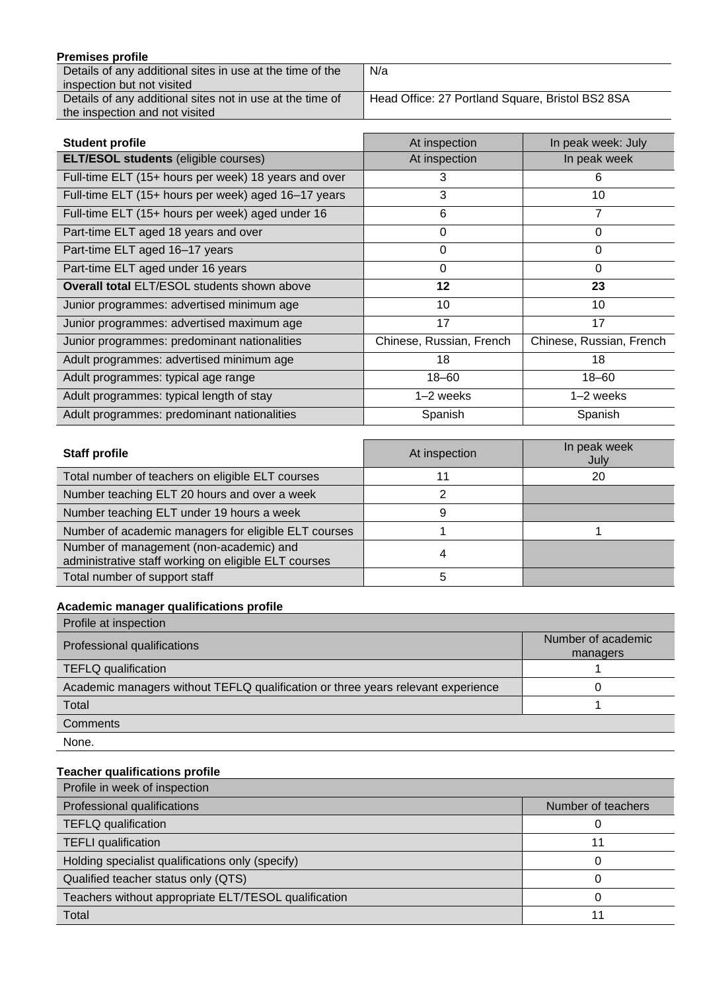| <b>Premises profile</b>                                   |                                                  |
|-----------------------------------------------------------|--------------------------------------------------|
| Details of any additional sites in use at the time of the | N/a                                              |
| inspection but not visited                                |                                                  |
| Details of any additional sites not in use at the time of | Head Office: 27 Portland Square, Bristol BS2 8SA |

| <b>Student profile</b>                               | At inspection            | In peak week: July       |
|------------------------------------------------------|--------------------------|--------------------------|
| <b>ELT/ESOL students (eligible courses)</b>          | At inspection            | In peak week             |
| Full-time ELT (15+ hours per week) 18 years and over | 3                        | 6                        |
| Full-time ELT (15+ hours per week) aged 16-17 years  | 3                        | 10                       |
| Full-time ELT (15+ hours per week) aged under 16     | 6                        | 7                        |
| Part-time ELT aged 18 years and over                 | 0                        | 0                        |
| Part-time ELT aged 16-17 years                       | $\Omega$                 | 0                        |
| Part-time ELT aged under 16 years                    | 0                        | 0                        |
| <b>Overall total ELT/ESOL students shown above</b>   | 12                       | 23                       |
| Junior programmes: advertised minimum age            | 10                       | 10                       |
| Junior programmes: advertised maximum age            | 17                       | 17                       |
| Junior programmes: predominant nationalities         | Chinese, Russian, French | Chinese, Russian, French |
| Adult programmes: advertised minimum age             | 18                       | 18                       |
| Adult programmes: typical age range                  | $18 - 60$                | $18 - 60$                |
| Adult programmes: typical length of stay             | $1-2$ weeks              | $1-2$ weeks              |
| Adult programmes: predominant nationalities          | Spanish                  | Spanish                  |

| <b>Staff profile</b>                                                                            | At inspection | In peak week<br>July |
|-------------------------------------------------------------------------------------------------|---------------|----------------------|
| Total number of teachers on eligible ELT courses                                                |               | 20                   |
| Number teaching ELT 20 hours and over a week                                                    |               |                      |
| Number teaching ELT under 19 hours a week                                                       | 9             |                      |
| Number of academic managers for eligible ELT courses                                            |               |                      |
| Number of management (non-academic) and<br>administrative staff working on eligible ELT courses |               |                      |
| Total number of support staff                                                                   | 5             |                      |

# **Academic manager qualifications profile**

the inspection and not visited

| Profile at inspection                                                            |                                |
|----------------------------------------------------------------------------------|--------------------------------|
| Professional qualifications                                                      | Number of academic<br>managers |
| <b>TEFLQ qualification</b>                                                       |                                |
| Academic managers without TEFLQ qualification or three years relevant experience |                                |
| Total                                                                            |                                |
| Comments                                                                         |                                |
| None.                                                                            |                                |

# **Teacher qualifications profile**

| Profile in week of inspection                        |                    |  |
|------------------------------------------------------|--------------------|--|
| Professional qualifications                          | Number of teachers |  |
| <b>TEFLQ</b> qualification                           |                    |  |
| <b>TEFLI</b> qualification                           | 11                 |  |
| Holding specialist qualifications only (specify)     | ი                  |  |
| Qualified teacher status only (QTS)                  |                    |  |
| Teachers without appropriate ELT/TESOL qualification |                    |  |
| Total                                                |                    |  |